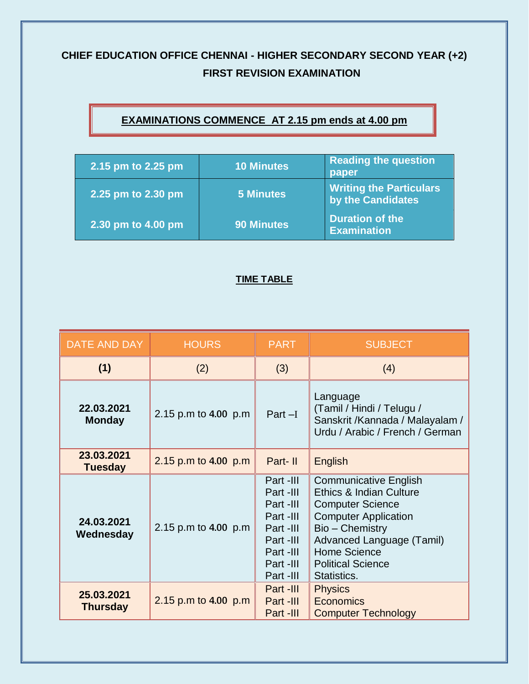## **CHIEF EDUCATION OFFICE CHENNAI - HIGHER SECONDARY SECOND YEAR (+2) FIRST REVISION EXAMINATION**

## **EXAMINATIONS COMMENCE AT 2.15 pm ends at 4.00 pm**

| 2.15 pm to 2.25 pm | 10 Minutes $^{\dagger}$ | <b>Reading the question</b><br>paper                |
|--------------------|-------------------------|-----------------------------------------------------|
| 2.25 pm to 2.30 pm | <b>5 Minutes</b>        | <b>Writing the Particulars</b><br>by the Candidates |
| 2.30 pm to 4.00 pm | <b>90 Minutes</b>       | Duration of the<br><b>Examination</b>               |

## **TIME TABLE**

| DATE AND DAY                  | <b>HOURS</b>         | <b>PART</b>                                                                                                       | <b>SUBJECT</b>                                                                                                                                                                                                                      |
|-------------------------------|----------------------|-------------------------------------------------------------------------------------------------------------------|-------------------------------------------------------------------------------------------------------------------------------------------------------------------------------------------------------------------------------------|
| (1)                           | (2)                  | (3)                                                                                                               | (4)                                                                                                                                                                                                                                 |
| 22.03.2021<br><b>Monday</b>   | 2.15 p.m to 4.00 p.m | $Part-I$                                                                                                          | Language<br>(Tamil / Hindi / Telugu /<br>Sanskrit /Kannada / Malayalam /<br>Urdu / Arabic / French / German                                                                                                                         |
| 23.03.2021<br><b>Tuesday</b>  | 2.15 p.m to 4.00 p.m | Part-II                                                                                                           | English                                                                                                                                                                                                                             |
| 24.03.2021<br>Wednesday       | 2.15 p.m to 4.00 p.m | Part -III<br>Part -III<br>Part -III<br>Part -III<br>Part -III<br>Part -III<br>Part -III<br>Part -III<br>Part -III | <b>Communicative English</b><br>Ethics & Indian Culture<br><b>Computer Science</b><br><b>Computer Application</b><br>Bio – Chemistry<br>Advanced Language (Tamil)<br><b>Home Science</b><br><b>Political Science</b><br>Statistics. |
| 25.03.2021<br><b>Thursday</b> | 2.15 p.m to 4.00 p.m | Part -III<br>Part -III<br>Part -III                                                                               | <b>Physics</b><br><b>Economics</b><br><b>Computer Technology</b>                                                                                                                                                                    |